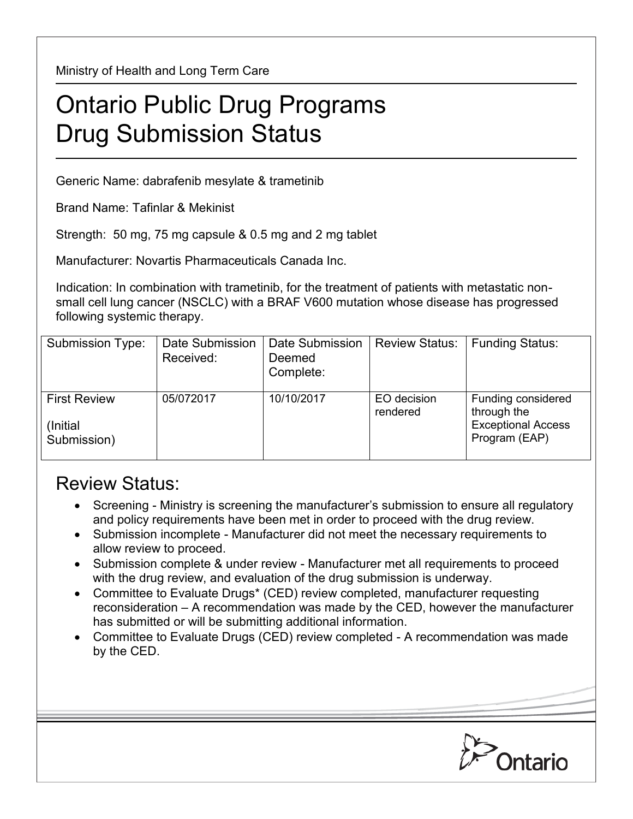Ministry of Health and Long Term Care

## Ontario Public Drug Programs Drug Submission Status

Generic Name: dabrafenib mesylate & trametinib

Brand Name: Tafinlar & Mekinist

Strength: 50 mg, 75 mg capsule & 0.5 mg and 2 mg tablet

Manufacturer: Novartis Pharmaceuticals Canada Inc.

Indication: In combination with trametinib, for the treatment of patients with metastatic nonsmall cell lung cancer (NSCLC) with a BRAF V600 mutation whose disease has progressed following systemic therapy.

| Submission Type:                                | Date Submission<br>Received: | Date Submission<br>Deemed<br>Complete: | <b>Review Status:</b>   | <b>Funding Status:</b>                                                          |
|-------------------------------------------------|------------------------------|----------------------------------------|-------------------------|---------------------------------------------------------------------------------|
| <b>First Review</b><br>(Initial)<br>Submission) | 05/072017                    | 10/10/2017                             | EO decision<br>rendered | Funding considered<br>through the<br><b>Exceptional Access</b><br>Program (EAP) |

## Review Status:

- Screening Ministry is screening the manufacturer's submission to ensure all regulatory and policy requirements have been met in order to proceed with the drug review.
- Submission incomplete Manufacturer did not meet the necessary requirements to allow review to proceed.
- Submission complete & under review Manufacturer met all requirements to proceed with the drug review, and evaluation of the drug submission is underway.
- Committee to Evaluate Drugs\* (CED) review completed, manufacturer requesting reconsideration – A recommendation was made by the CED, however the manufacturer has submitted or will be submitting additional information.
- Committee to Evaluate Drugs (CED) review completed A recommendation was made by the CED.